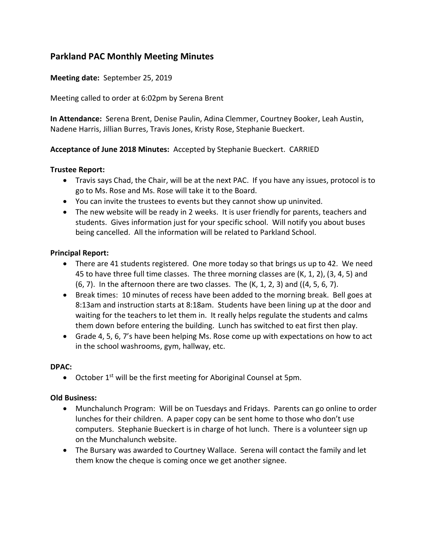# **Parkland PAC Monthly Meeting Minutes**

### **Meeting date:** September 25, 2019

Meeting called to order at 6:02pm by Serena Brent

**In Attendance:** Serena Brent, Denise Paulin, Adina Clemmer, Courtney Booker, Leah Austin, Nadene Harris, Jillian Burres, Travis Jones, Kristy Rose, Stephanie Bueckert.

### **Acceptance of June 2018 Minutes:** Accepted by Stephanie Bueckert. CARRIED

### **Trustee Report:**

- Travis says Chad, the Chair, will be at the next PAC. If you have any issues, protocol is to go to Ms. Rose and Ms. Rose will take it to the Board.
- You can invite the trustees to events but they cannot show up uninvited.
- The new website will be ready in 2 weeks. It is user friendly for parents, teachers and students. Gives information just for your specific school. Will notify you about buses being cancelled. All the information will be related to Parkland School.

#### **Principal Report:**

- There are 41 students registered. One more today so that brings us up to 42. We need 45 to have three full time classes. The three morning classes are (K, 1, 2), (3, 4, 5) and  $(6, 7)$ . In the afternoon there are two classes. The  $(K, 1, 2, 3)$  and  $((4, 5, 6, 7)$ .
- Break times: 10 minutes of recess have been added to the morning break. Bell goes at 8:13am and instruction starts at 8:18am. Students have been lining up at the door and waiting for the teachers to let them in. It really helps regulate the students and calms them down before entering the building. Lunch has switched to eat first then play.
- Grade 4, 5, 6, 7's have been helping Ms. Rose come up with expectations on how to act in the school washrooms, gym, hallway, etc.

#### **DPAC:**

• October  $1^{st}$  will be the first meeting for Aboriginal Counsel at 5pm.

### **Old Business:**

- Munchalunch Program: Will be on Tuesdays and Fridays. Parents can go online to order lunches for their children. A paper copy can be sent home to those who don't use computers. Stephanie Bueckert is in charge of hot lunch. There is a volunteer sign up on the Munchalunch website.
- The Bursary was awarded to Courtney Wallace. Serena will contact the family and let them know the cheque is coming once we get another signee.